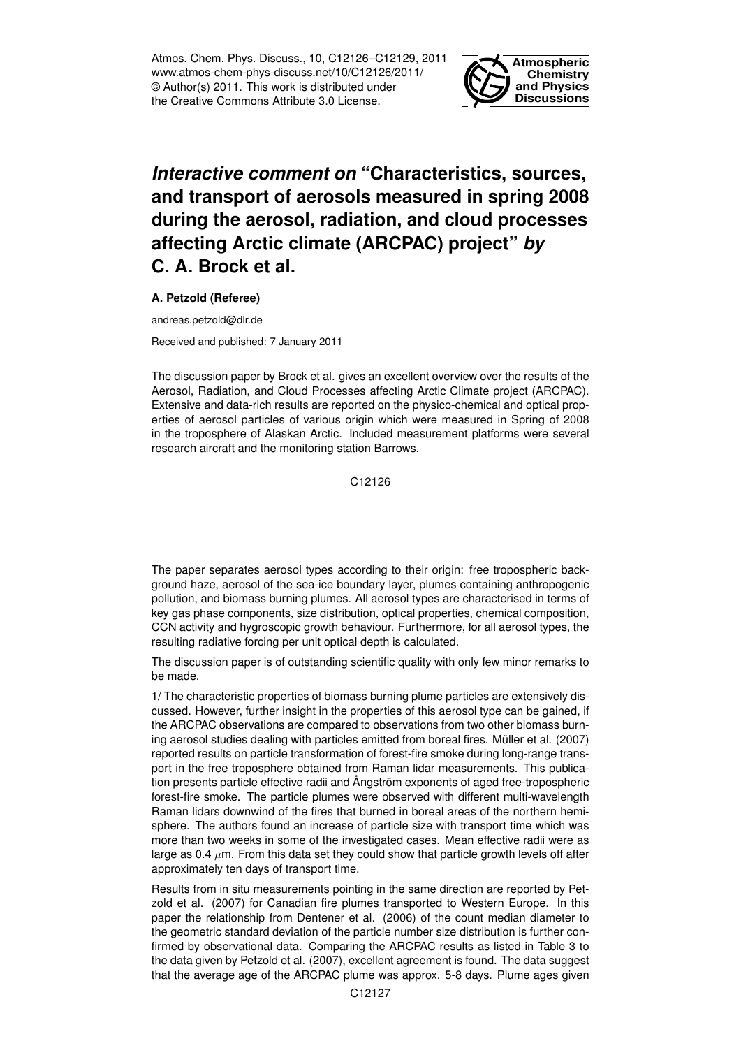Atmos. Chem. Phys. Discuss., 10, C12126–C12129, 2011 www.atmos-chem-phys-discuss.net/10/C12126/2011/ © Author(s) 2011. This work is distributed under the Creative Commons Attribute 3.0 License.



## *Interactive comment on* **"Characteristics, sources, and transport of aerosols measured in spring 2008 during the aerosol, radiation, and cloud processes affecting Arctic climate (ARCPAC) project"** *by* **C. A. Brock et al.**

**A. Petzold (Referee)**

andreas.petzold@dlr.de

Received and published: 7 January 2011

The discussion paper by Brock et al. gives an excellent overview over the results of the Aerosol, Radiation, and Cloud Processes affecting Arctic Climate project (ARCPAC). Extensive and data-rich results are reported on the physico-chemical and optical properties of aerosol particles of various origin which were measured in Spring of 2008 in the troposphere of Alaskan Arctic. Included measurement platforms were several research aircraft and the monitoring station Barrows.

C12126

The paper separates aerosol types according to their origin: free tropospheric background haze, aerosol of the sea-ice boundary layer, plumes containing anthropogenic pollution, and biomass burning plumes. All aerosol types are characterised in terms of key gas phase components, size distribution, optical properties, chemical composition, CCN activity and hygroscopic growth behaviour. Furthermore, for all aerosol types, the resulting radiative forcing per unit optical depth is calculated.

The discussion paper is of outstanding scientific quality with only few minor remarks to be made.

1/ The characteristic properties of biomass burning plume particles are extensively discussed. However, further insight in the properties of this aerosol type can be gained, if the ARCPAC observations are compared to observations from two other biomass burning aerosol studies dealing with particles emitted from boreal fires. Müller et al. (2007) reported results on particle transformation of forest-fire smoke during long-range transport in the free troposphere obtained from Raman lidar measurements. This publication presents particle effective radii and Ångström exponents of aged free-tropospheric forest-fire smoke. The particle plumes were observed with different multi-wavelength Raman lidars downwind of the fires that burned in boreal areas of the northern hemisphere. The authors found an increase of particle size with transport time which was more than two weeks in some of the investigated cases. Mean effective radii were as large as 0.4  $\mu$ m. From this data set they could show that particle growth levels off after approximately ten days of transport time.

Results from in situ measurements pointing in the same direction are reported by Petzold et al. (2007) for Canadian fire plumes transported to Western Europe. In this paper the relationship from Dentener et al. (2006) of the count median diameter to the geometric standard deviation of the particle number size distribution is further confirmed by observational data. Comparing the ARCPAC results as listed in Table 3 to the data given by Petzold et al. (2007), excellent agreement is found. The data suggest that the average age of the ARCPAC plume was approx. 5-8 days. Plume ages given